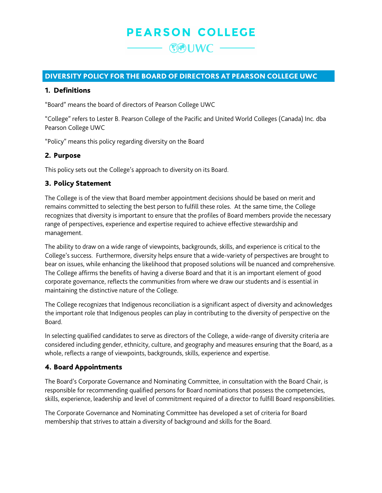## **PEARSON COLLEGE**

 $\mathbb{C}$ UWC —

#### DIVERSITY POLICY FOR THE BOARD OF DIRECTORS AT PEARSON COLLEGE UWC

#### 1. Definitions

"Board" means the board of directors of Pearson College UWC

"College" refers to Lester B. Pearson College of the Pacific and United World Colleges (Canada) Inc. dba Pearson College UWC

"Policy" means this policy regarding diversity on the Board

#### 2. Purpose

This policy sets out the College's approach to diversity on its Board.

#### 3. Policy Statement

The College is of the view that Board member appointment decisions should be based on merit and remains committed to selecting the best person to fulfill these roles. At the same time, the College recognizes that diversity is important to ensure that the profiles of Board members provide the necessary range of perspectives, experience and expertise required to achieve effective stewardship and management.

The ability to draw on a wide range of viewpoints, backgrounds, skills, and experience is critical to the College's success. Furthermore, diversity helps ensure that a wide-variety of perspectives are brought to bear on issues, while enhancing the likelihood that proposed solutions will be nuanced and comprehensive. The College affirms the benefits of having a diverse Board and that it is an important element of good corporate governance, reflects the communities from where we draw our students and is essential in maintaining the distinctive nature of the College.

The College recognizes that Indigenous reconciliation is a significant aspect of diversity and acknowledges the important role that Indigenous peoples can play in contributing to the diversity of perspective on the Board.

In selecting qualified candidates to serve as directors of the College, a wide-range of diversity criteria are considered including gender, ethnicity, culture, and geography and measures ensuring that the Board, as a whole, reflects a range of viewpoints, backgrounds, skills, experience and expertise.

#### 4. Board Appointments

The Board's Corporate Governance and Nominating Committee, in consultation with the Board Chair, is responsible for recommending qualified persons for Board nominations that possess the competencies, skills, experience, leadership and level of commitment required of a director to fulfill Board responsibilities.

The Corporate Governance and Nominating Committee has developed a set of criteria for Board membership that strives to attain a diversity of background and skills for the Board.